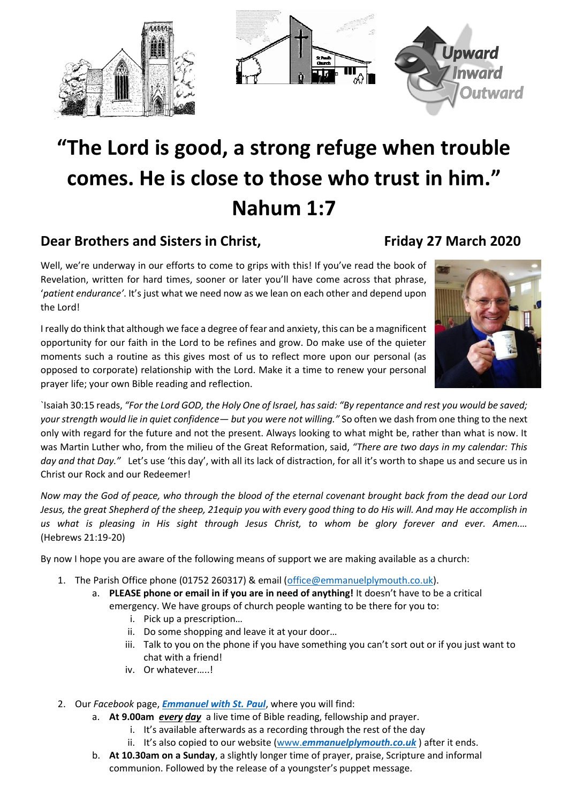





## **"The Lord is good, a strong refuge when trouble comes. He is close to those who trust in him." Nahum 1:7**

## **Dear Brothers and Sisters in Christ, Friday 27 March 2020**

Well, we're underway in our efforts to come to grips with this! If you've read the book of Revelation, written for hard times, sooner or later you'll have come across that phrase, '*patient endurance'*. It's just what we need now as we lean on each other and depend upon the Lord!

I really do think that although we face a degree of fear and anxiety, this can be a magnificent opportunity for our faith in the Lord to be refines and grow. Do make use of the quieter moments such a routine as this gives most of us to reflect more upon our personal (as opposed to corporate) relationship with the Lord. Make it a time to renew your personal prayer life; your own Bible reading and reflection.



`Isaiah 30:15 reads, *"For the Lord GOD, the Holy One of Israel, has said: "By repentance and rest you would be saved; your strength would lie in quiet confidence— but you were not willing."* So often we dash from one thing to the next only with regard for the future and not the present. Always looking to what might be, rather than what is now. It was Martin Luther who, from the milieu of the Great Reformation, said, *"There are two days in my calendar: This day and that Day."* Let's use 'this day', with all its lack of distraction, for all it's worth to shape us and secure us in Christ our Rock and our Redeemer!

*Now may the God of peace, who through the blood of the eternal covenant brought back from the dead our Lord Jesus, the great Shepherd of the sheep, 21equip you with every good thing to do His will. And may He accomplish in us what is pleasing in His sight through Jesus Christ, to whom be glory forever and ever. Amen.…*  (Hebrews 21:19-20)

By now I hope you are aware of the following means of support we are making available as a church:

- 1. The Parish Office phone (01752 260317) & email [\(office@emmanuelplymouth.co.uk\)](mailto:office@emmanuelplymouth.co.uk).
	- a. **PLEASE phone or email in if you are in need of anything!** It doesn't have to be a critical emergency. We have groups of church people wanting to be there for you to:
		- i. Pick up a prescription…
		- ii. Do some shopping and leave it at your door…
		- iii. Talk to you on the phone if you have something you can't sort out or if you just want to chat with a friend!
		- iv. Or whatever…..!
- 2. Our *Facebook* page, *[Emmanuel with St. Paul](https://www.facebook.com/emmanuelwithstpauls/?epa=SEARCH_BOX)*, where you will find:
	- a. **At 9.00am** *every day* a live time of Bible reading, fellowship and prayer.
		- i. It's available afterwards as a recording through the rest of the day
			- ii. It's also copied to our website (www.*[emmanuelplymouth.co.uk](http://www.emmanuelplymouth.co.uk/)* ) after it ends.
	- b. **At 10.30am on a Sunday**, a slightly longer time of prayer, praise, Scripture and informal communion. Followed by the release of a youngster's puppet message.